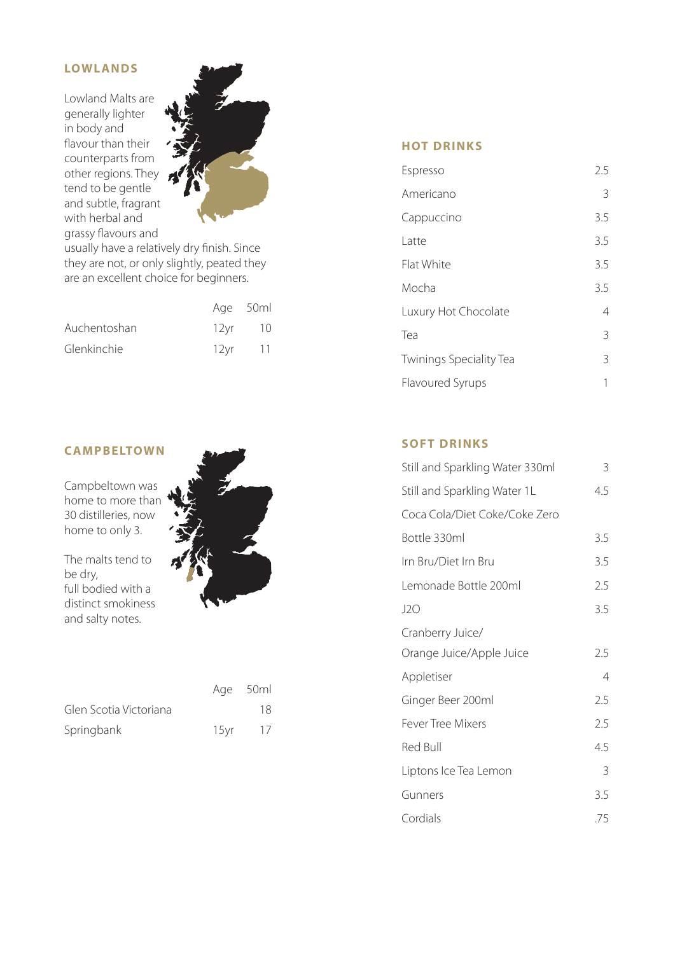# **LOWLANDS**

Lowland Malts are generally lighter in body and flavour than their counterparts from other regions. They tend to be gentle and subtle, fragrant with herbal and grassy flavours and



usually have a relatively dry finish. Since they are not, or only slightly, peated they are an excellent choice for beginners.

|              |      | Age 50ml    |
|--------------|------|-------------|
| Auchentoshan |      | 12 vr 10    |
| Glenkinchie  | 12vr | $\sqrt{11}$ |

## **C AMPBELTOWN**

Campbeltown was home to more than 30 distilleries, now home to only 3.

The malts tend to be dry, full bodied with a distinct smokiness and salty notes.



|                        | Age 50ml |
|------------------------|----------|
| Glen Scotia Victoriana | 18       |
| Springbank             | 15 vr 17 |

# **HOT DRINKS**

| Espresso                       | 2.5           |
|--------------------------------|---------------|
| Americano                      | 3             |
| Cappuccino                     | 3.5           |
| Latte                          | 3.5           |
| Flat White                     | 3.5           |
| Mocha                          | 3.5           |
| Luxury Hot Chocolate           | 4             |
| Tea                            | $\mathcal{R}$ |
| <b>Twinings Speciality Tea</b> | 3             |
| <b>Flavoured Syrups</b>        | 1             |

# **SOFT DRINKS**

| Still and Sparkling Water 330ml | 3   |
|---------------------------------|-----|
| Still and Sparkling Water 1L    | 4.5 |
| Coca Cola/Diet Coke/Coke Zero   |     |
| Bottle 330ml                    | 3.5 |
| Irn Bru/Diet Irn Bru            | 3.5 |
| Lemonade Bottle 200ml           | 2.5 |
| J2O                             | 3.5 |
| Cranberry Juice/                |     |
| Orange Juice/Apple Juice        | 2.5 |
| Appletiser                      | 4   |
| Ginger Beer 200ml               | 2.5 |
| <b>Fever Tree Mixers</b>        | 2.5 |
| <b>Red Bull</b>                 | 4.5 |
| Liptons Ice Tea Lemon           | 3   |
| Gunners                         | 3.5 |
| Cordials                        | .75 |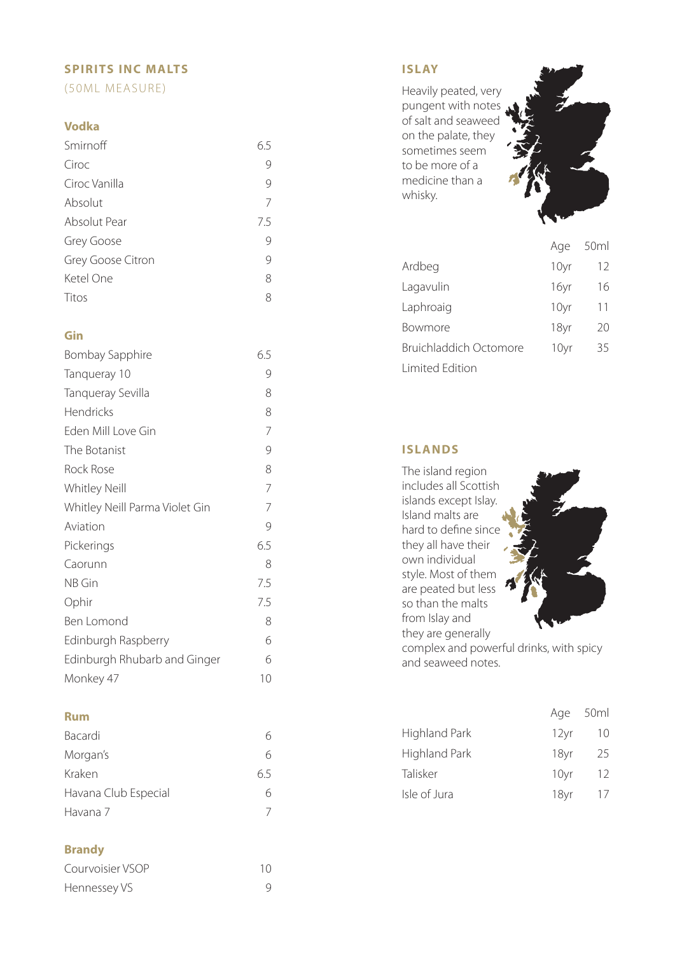# **SPIRITS INC MALTS**

(50ML MEASURE)

#### **Vodka**

| Smirnoff          | 6.5 |
|-------------------|-----|
| Ciroc             |     |
| Ciroc Vanilla     | 9   |
| Absolut           | 7   |
| Absolut Pear      | 7.5 |
| Grey Goose        | 9   |
| Grey Goose Citron | 9   |
| Ketel One         | 8   |
| Titos             | 8   |

## **Gin**

| Bombay Sapphire                | 6.5 |
|--------------------------------|-----|
| Tanqueray 10                   | 9   |
| Tanqueray Sevilla              | 8   |
| Hendricks                      | 8   |
| Eden Mill Love Gin             | 7   |
| The Botanist                   | 9   |
| Rock Rose                      | 8   |
| <b>Whitley Neill</b>           | 7   |
| Whitley Neill Parma Violet Gin | 7   |
| Aviation                       | 9   |
| Pickerings                     | 6.5 |
| Caorunn                        | 8   |
| NB Gin                         | 7.5 |
| Ophir                          | 7.5 |
| Ben Lomond                     | 8   |
| Edinburgh Raspberry            | 6   |
| Edinburgh Rhubarb and Ginger   | 6   |
| Monkey 47                      | 10  |

#### **Rum**

| Bacardi              | 6   |
|----------------------|-----|
| Morgan's             | б   |
| Kraken               | 6.5 |
| Havana Club Especial | б   |
| Havana 7             |     |

# **Brandy**

| Courvoisier VSOP | 10 |
|------------------|----|
| Hennessey VS     |    |

# **ISLAY**

Heavily peated, very pungent with notes of salt and seaweed on the palate, they sometimes seem to be more of a medicine than a whisky.



|                        | Age  | 50ml |
|------------------------|------|------|
| Ardbeg                 | 10yr | 12   |
| Lagavulin              | 16yr | 16   |
| Laphroaig              | 10yr | 11   |
| Bowmore                | 18yr | 20   |
| Bruichladdich Octomore | 10yr | 35   |
| <b>Limited Edition</b> |      |      |

# **ISLANDS**

| The island region                       |
|-----------------------------------------|
| includes all Scottish                   |
| islands except Islay.                   |
| Island malts are                        |
| hard to define since                    |
| they all have their                     |
| own individual                          |
| style. Most of them                     |
| are peated but less                     |
| so than the malts                       |
| from Islay and                          |
| they are generally                      |
| complex and powerful drinks, with spicy |
| and seaweed notes.                      |

|                      |      | Age 50ml |
|----------------------|------|----------|
| <b>Highland Park</b> | 12yr | 10       |
| Highland Park        | 18vr | 25       |
| Talisker             | 10yr | 12.      |

Isle of Jura 18yr 17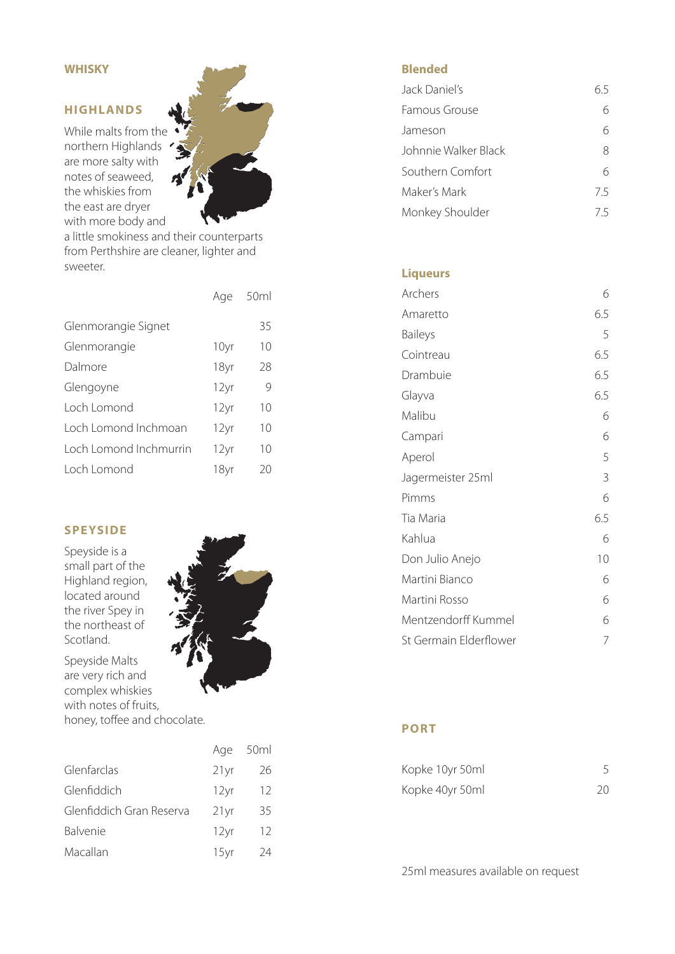## **WHISKY**

## **HIGHLANDS**

While malts from the northern Highlands / are more salty with notes of seaweed, the whiskies from the east are dryer with more body and

a little smokiness and their counterparts from Perthshire are cleaner, lighter and sweeter.

|                        | Age  | 50ml |
|------------------------|------|------|
| Glenmorangie Signet    |      | 35   |
| Glenmorangie           | 10yr | 10   |
| Dalmore                | 18yr | 28   |
| Glengoyne              | 12yr | 9    |
| Loch Lomond            | 12yr | 10   |
| Loch Lomond Inchmoan   | 12yr | 10   |
| Loch Lomond Inchmurrin | 12yr | 10   |
| Loch Lomond            | 18yr | 20   |

## **SPEYSIDE**

Speyside is a small part of the Highland region, located around the river Spey in the northeast of Scotland.

Speyside Malts are very rich and complex whiskies with notes of fruits, honey, toffee and chocolate.

|                          |                  | Age 50ml |
|--------------------------|------------------|----------|
| Glenfarclas              | 21 <sub>yr</sub> | 26       |
| Glenfiddich              | 12yr             | 12       |
| Glenfiddich Gran Reserva | 21 <sub>yr</sub> | 35       |
| Balvenie                 | 12yr             | 12       |
| Macallan                 | 15yr             | 24       |



| Jack Daniel's        | 65 |
|----------------------|----|
| Famous Grouse        | h  |
| Jameson              | 6  |
| Johnnie Walker Black | 8  |
| Southern Comfort     | 6  |
| Maker's Mark         | 75 |
| Monkey Shoulder      | 75 |

#### **Liqueurs**

| Archers                | 6   |
|------------------------|-----|
| Amaretto               | 6.5 |
| <b>Baileys</b>         | 5   |
| Cointreau              | 6.5 |
| Drambuie               | 6.5 |
| Glayva                 | 6.5 |
| Malibu                 | 6   |
| Campari                | 6   |
| Aperol                 | 5   |
| Jagermeister 25ml      | 3   |
| Pimms                  | 6   |
| Tia Maria              | 6.5 |
| Kahlua                 | 6   |
| Don Julio Anejo        | 10  |
| Martini Bianco         | 6   |
| Martini Rosso          | 6   |
| Mentzendorff Kummel    | 6   |
| St Germain Elderflower | 7   |

### **PORT**

| Kopke 10yr 50ml |    |
|-----------------|----|
| Kopke 40yr 50ml | 20 |

25ml measures available on request